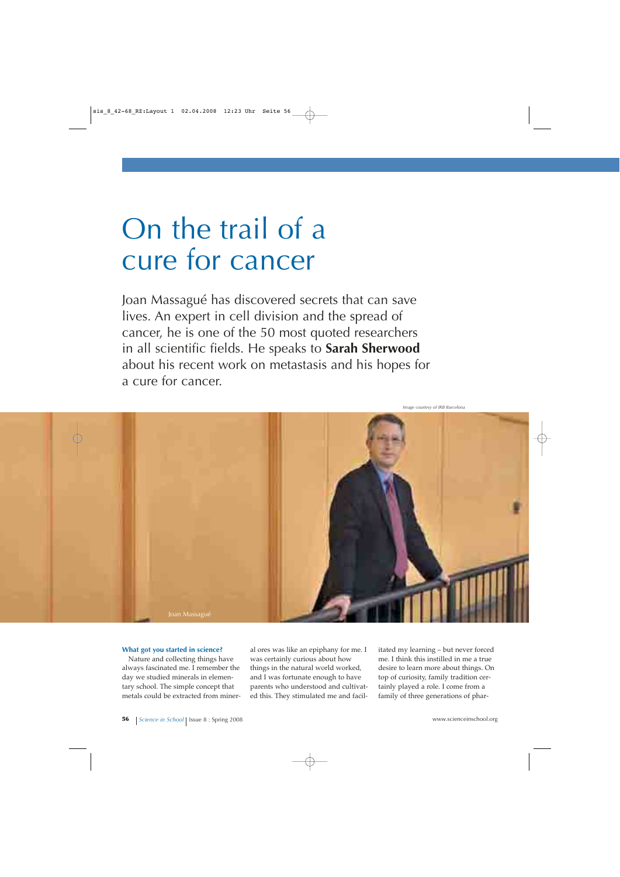# On the trail of a cure for cancer

Joan Massagué has discovered secrets that can save lives. An expert in cell division and the spread of cancer, he is one of the 50 most quoted researchers in all scientific fields. He speaks to **Sarah Sherwood** about his recent work on metastasis and his hopes for a cure for cancer.

Joan Massagué

#### **What got you started in science?**

Nature and collecting things have always fascinated me. I remember the day we studied minerals in elementary school. The simple concept that metals could be extracted from mineral ores was like an epiphany for me. I was certainly curious about how things in the natural world worked, and I was fortunate enough to have parents who understood and cultivated this. They stimulated me and facil-

itated my learning – but never forced me. I think this instilled in me a true desire to learn more about things. On top of curiosity, family tradition certainly played a role. I come from a family of three generations of phar-

*Image courtesy of IRB Barcelona*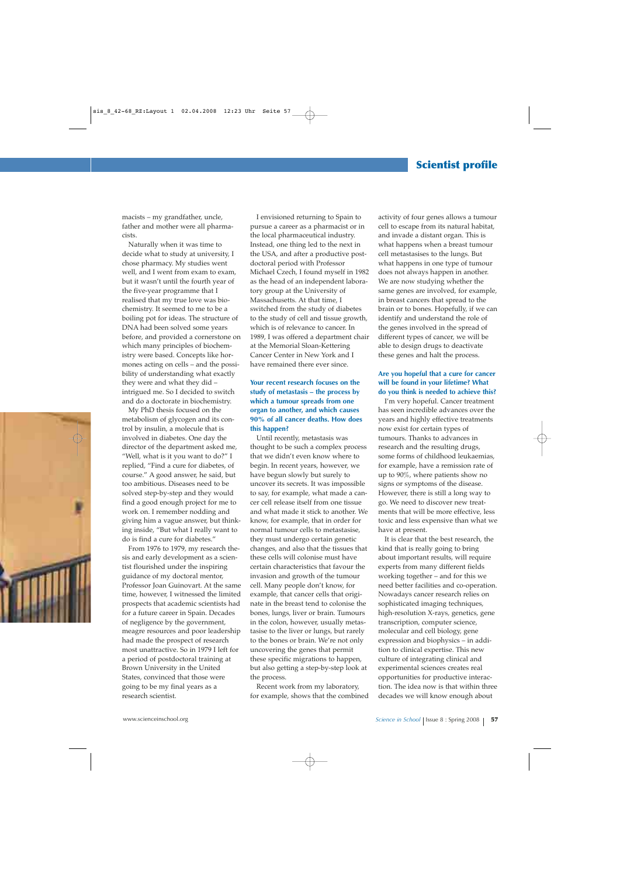macists – my grandfather, uncle, father and mother were all pharmacists.

Naturally when it was time to decide what to study at university, I chose pharmacy. My studies went well, and I went from exam to exam, but it wasn't until the fourth year of the five-year programme that I realised that my true love was biochemistry. It seemed to me to be a boiling pot for ideas. The structure of DNA had been solved some years before, and provided a cornerstone on which many principles of biochemistry were based. Concepts like hormones acting on cells – and the possibility of understanding what exactly they were and what they did – intrigued me. So I decided to switch and do a doctorate in biochemistry.

My PhD thesis focused on the metabolism of glycogen and its control by insulin, a molecule that is involved in diabetes. One day the director of the department asked me, "Well, what is it you want to do?" I replied, "Find a cure for diabetes, of course." A good answer, he said, but too ambitious. Diseases need to be solved step-by-step and they would find a good enough project for me to work on. I remember nodding and giving him a vague answer, but thinking inside, "But what I really want to do is find a cure for diabetes."

From 1976 to 1979, my research thesis and early development as a scientist flourished under the inspiring guidance of my doctoral mentor, Professor Joan Guinovart. At the same time, however, I witnessed the limited prospects that academic scientists had for a future career in Spain. Decades of negligence by the government, meagre resources and poor leadership had made the prospect of research most unattractive. So in 1979 I left for a period of postdoctoral training at Brown University in the United States, convinced that those were going to be my final years as a research scientist.

I envisioned returning to Spain to pursue a career as a pharmacist or in the local pharmaceutical industry. Instead, one thing led to the next in the USA, and after a productive postdoctoral period with Professor Michael Czech, I found myself in 1982 as the head of an independent laboratory group at the University of Massachusetts. At that time, I switched from the study of diabetes to the study of cell and tissue growth, which is of relevance to cancer. In 1989, I was offered a department chair at the Memorial Sloan-Kettering Cancer Center in New York and I have remained there ever since.

#### **Your recent research focuses on the study of metastasis – the process by which a tumour spreads from one organ to another, and which causes 90% of all cancer deaths. How does this happen?**

Until recently, metastasis was thought to be such a complex process that we didn't even know where to begin. In recent years, however, we have begun slowly but surely to uncover its secrets. It was impossible to say, for example, what made a cancer cell release itself from one tissue and what made it stick to another. We know, for example, that in order for normal tumour cells to metastasise, they must undergo certain genetic changes, and also that the tissues that these cells will colonise must have certain characteristics that favour the invasion and growth of the tumour cell. Many people don't know, for example, that cancer cells that originate in the breast tend to colonise the bones, lungs, liver or brain. Tumours in the colon, however, usually metastasise to the liver or lungs, but rarely to the bones or brain. We're not only uncovering the genes that permit these specific migrations to happen, but also getting a step-by-step look at the process.

Recent work from my laboratory, for example, shows that the combined activity of four genes allows a tumour cell to escape from its natural habitat, and invade a distant organ. This is what happens when a breast tumour cell metastasises to the lungs. But what happens in one type of tumour does not always happen in another. We are now studying whether the same genes are involved, for example, in breast cancers that spread to the brain or to bones. Hopefully, if we can identify and understand the role of the genes involved in the spread of different types of cancer, we will be able to design drugs to deactivate these genes and halt the process.

### **Are you hopeful that a cure for cancer will be found in your lifetime? What do you think is needed to achieve this?**

I'm very hopeful. Cancer treatment has seen incredible advances over the years and highly effective treatments now exist for certain types of tumours. Thanks to advances in research and the resulting drugs, some forms of childhood leukaemias, for example, have a remission rate of up to 90%, where patients show no signs or symptoms of the disease. However, there is still a long way to go. We need to discover new treatments that will be more effective, less toxic and less expensive than what we have at present.

It is clear that the best research, the kind that is really going to bring about important results, will require experts from many different fields working together – and for this we need better facilities and co-operation. Nowadays cancer research relies on sophisticated imaging techniques, high-resolution X-rays, genetics, gene transcription, computer science, molecular and cell biology, gene expression and biophysics – in addition to clinical expertise. This new culture of integrating clinical and experimental sciences creates real opportunities for productive interaction. The idea now is that within three decades we will know enough about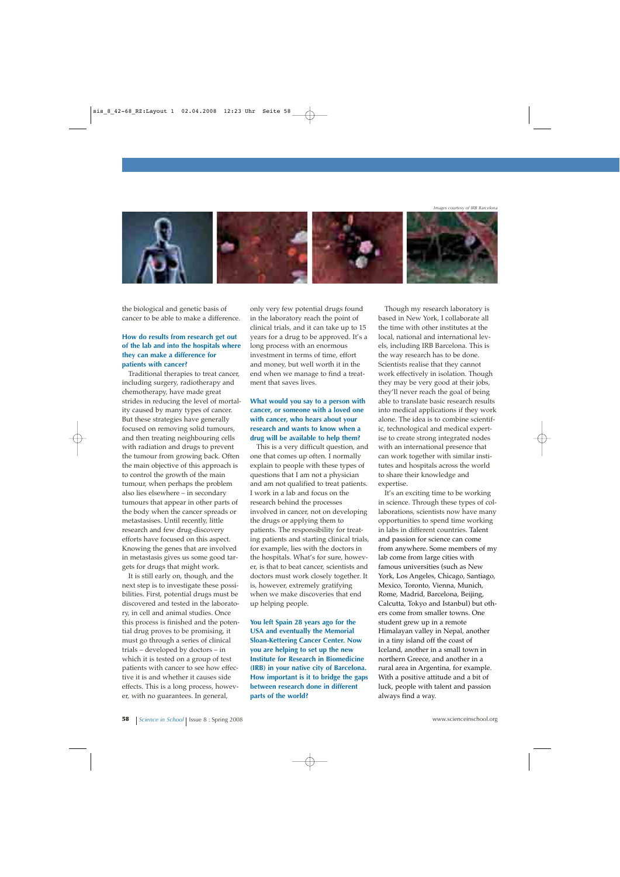*Images courtesy of IRB Barcelona*



the biological and genetic basis of cancer to be able to make a difference.

#### **How do results from research get out of the lab and into the hospitals where they can make a difference for patients with cancer?**

Traditional therapies to treat cancer, including surgery, radiotherapy and chemotherapy, have made great strides in reducing the level of mortality caused by many types of cancer. But these strategies have generally focused on removing solid tumours, and then treating neighbouring cells with radiation and drugs to prevent the tumour from growing back. Often the main objective of this approach is to control the growth of the main tumour, when perhaps the problem also lies elsewhere – in secondary tumours that appear in other parts of the body when the cancer spreads or metastasises. Until recently, little research and few drug-discovery efforts have focused on this aspect. Knowing the genes that are involved in metastasis gives us some good targets for drugs that might work.

It is still early on, though, and the next step is to investigate these possibilities. First, potential drugs must be discovered and tested in the laboratory, in cell and animal studies. Once this process is finished and the potential drug proves to be promising, it must go through a series of clinical trials – developed by doctors – in which it is tested on a group of test patients with cancer to see how effective it is and whether it causes side effects. This is a long process, however, with no guarantees. In general,

only very few potential drugs found in the laboratory reach the point of clinical trials, and it can take up to 15 years for a drug to be approved. It's a long process with an enormous investment in terms of time, effort and money, but well worth it in the end when we manage to find a treatment that saves lives.

#### **What would you say to a person with cancer, or someone with a loved one with cancer, who hears about your research and wants to know when a drug will be available to help them?**

This is a very difficult question, and one that comes up often. I normally explain to people with these types of questions that I am not a physician and am not qualified to treat patients. I work in a lab and focus on the research behind the processes involved in cancer, not on developing the drugs or applying them to patients. The responsibility for treating patients and starting clinical trials, for example, lies with the doctors in the hospitals. What's for sure, however, is that to beat cancer, scientists and doctors must work closely together. It is, however, extremely gratifying when we make discoveries that end up helping people.

**You left Spain 28 years ago for the USA and eventually the Memorial Sloan-Kettering Cancer Center. Now you are helping to set up the new Institute for Research in Biomedicine (IRB) in your native city of Barcelona. How important is it to bridge the gaps between research done in different parts of the world?**

Though my research laboratory is based in New York, I collaborate all the time with other institutes at the local, national and international levels, including IRB Barcelona. This is the way research has to be done. Scientists realise that they cannot work effectively in isolation. Though they may be very good at their jobs, they'll never reach the goal of being able to translate basic research results into medical applications if they work alone. The idea is to combine scientific, technological and medical expertise to create strong integrated nodes with an international presence that can work together with similar institutes and hospitals across the world to share their knowledge and expertise.

It's an exciting time to be working in science. Through these types of collaborations, scientists now have many opportunities to spend time working in labs in different countries. Talent and passion for science can come from anywhere. Some members of my lab come from large cities with famous universities (such as New York, Los Angeles, Chicago, Santiago, Mexico, Toronto, Vienna, Munich, Rome, Madrid, Barcelona, Beijing, Calcutta, Tokyo and Istanbul) but others come from smaller towns. One student grew up in a remote Himalayan valley in Nepal, another in a tiny island off the coast of Iceland, another in a small town in northern Greece, and another in a rural area in Argentina, for example. With a positive attitude and a bit of luck, people with talent and passion always find a way.